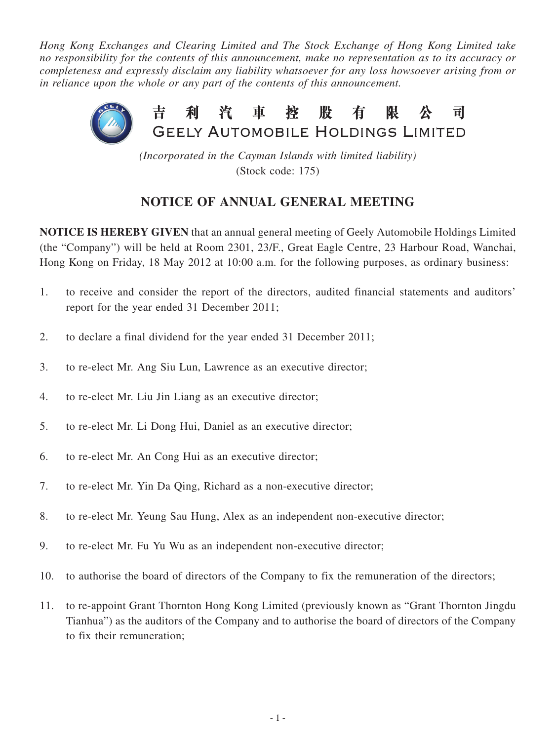*Hong Kong Exchanges and Clearing Limited and The Stock Exchange of Hong Kong Limited take no responsibility for the contents of this announcement, make no representation as to its accuracy or completeness and expressly disclaim any liability whatsoever for any loss howsoever arising from or in reliance upon the whole or any part of the contents of this announcement.*



*(Incorporated in the Cayman Islands with limited liability)* (Stock code: 175)

# **NOTICE OF ANNUAL GENERAL MEETING**

**NOTICE IS HEREBY GIVEN** that an annual general meeting of Geely Automobile Holdings Limited (the "Company") will be held at Room 2301, 23/F., Great Eagle Centre, 23 Harbour Road, Wanchai, Hong Kong on Friday, 18 May 2012 at 10:00 a.m. for the following purposes, as ordinary business:

- 1. to receive and consider the report of the directors, audited financial statements and auditors' report for the year ended 31 December 2011;
- 2. to declare a final dividend for the year ended 31 December 2011;
- 3. to re-elect Mr. Ang Siu Lun, Lawrence as an executive director;
- 4. to re-elect Mr. Liu Jin Liang as an executive director;
- 5. to re-elect Mr. Li Dong Hui, Daniel as an executive director;
- 6. to re-elect Mr. An Cong Hui as an executive director;
- 7. to re-elect Mr. Yin Da Qing, Richard as a non-executive director;
- 8. to re-elect Mr. Yeung Sau Hung, Alex as an independent non-executive director;
- 9. to re-elect Mr. Fu Yu Wu as an independent non-executive director;
- 10. to authorise the board of directors of the Company to fix the remuneration of the directors;
- 11. to re-appoint Grant Thornton Hong Kong Limited (previously known as "Grant Thornton Jingdu Tianhua") as the auditors of the Company and to authorise the board of directors of the Company to fix their remuneration;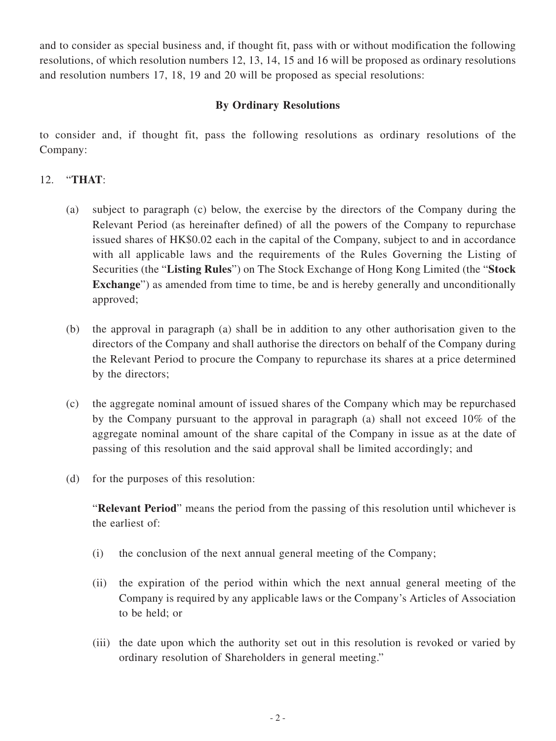and to consider as special business and, if thought fit, pass with or without modification the following resolutions, of which resolution numbers 12, 13, 14, 15 and 16 will be proposed as ordinary resolutions and resolution numbers 17, 18, 19 and 20 will be proposed as special resolutions:

### **By Ordinary Resolutions**

to consider and, if thought fit, pass the following resolutions as ordinary resolutions of the Company:

#### 12. "**THAT**:

- (a) subject to paragraph (c) below, the exercise by the directors of the Company during the Relevant Period (as hereinafter defined) of all the powers of the Company to repurchase issued shares of HK\$0.02 each in the capital of the Company, subject to and in accordance with all applicable laws and the requirements of the Rules Governing the Listing of Securities (the "**Listing Rules**") on The Stock Exchange of Hong Kong Limited (the "**Stock Exchange**") as amended from time to time, be and is hereby generally and unconditionally approved;
- (b) the approval in paragraph (a) shall be in addition to any other authorisation given to the directors of the Company and shall authorise the directors on behalf of the Company during the Relevant Period to procure the Company to repurchase its shares at a price determined by the directors;
- (c) the aggregate nominal amount of issued shares of the Company which may be repurchased by the Company pursuant to the approval in paragraph (a) shall not exceed 10% of the aggregate nominal amount of the share capital of the Company in issue as at the date of passing of this resolution and the said approval shall be limited accordingly; and
- (d) for the purposes of this resolution:

"**Relevant Period**" means the period from the passing of this resolution until whichever is the earliest of:

- (i) the conclusion of the next annual general meeting of the Company;
- (ii) the expiration of the period within which the next annual general meeting of the Company is required by any applicable laws or the Company's Articles of Association to be held; or
- (iii) the date upon which the authority set out in this resolution is revoked or varied by ordinary resolution of Shareholders in general meeting."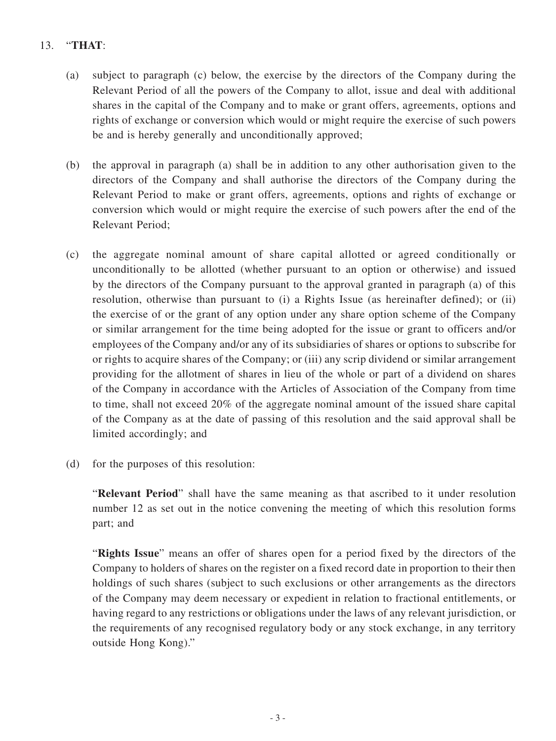# 13. "**THAT**:

- (a) subject to paragraph (c) below, the exercise by the directors of the Company during the Relevant Period of all the powers of the Company to allot, issue and deal with additional shares in the capital of the Company and to make or grant offers, agreements, options and rights of exchange or conversion which would or might require the exercise of such powers be and is hereby generally and unconditionally approved;
- (b) the approval in paragraph (a) shall be in addition to any other authorisation given to the directors of the Company and shall authorise the directors of the Company during the Relevant Period to make or grant offers, agreements, options and rights of exchange or conversion which would or might require the exercise of such powers after the end of the Relevant Period;
- (c) the aggregate nominal amount of share capital allotted or agreed conditionally or unconditionally to be allotted (whether pursuant to an option or otherwise) and issued by the directors of the Company pursuant to the approval granted in paragraph (a) of this resolution, otherwise than pursuant to (i) a Rights Issue (as hereinafter defined); or (ii) the exercise of or the grant of any option under any share option scheme of the Company or similar arrangement for the time being adopted for the issue or grant to officers and/or employees of the Company and/or any of its subsidiaries of shares or options to subscribe for or rights to acquire shares of the Company; or (iii) any scrip dividend or similar arrangement providing for the allotment of shares in lieu of the whole or part of a dividend on shares of the Company in accordance with the Articles of Association of the Company from time to time, shall not exceed 20% of the aggregate nominal amount of the issued share capital of the Company as at the date of passing of this resolution and the said approval shall be limited accordingly; and
- (d) for the purposes of this resolution:

"**Relevant Period**" shall have the same meaning as that ascribed to it under resolution number 12 as set out in the notice convening the meeting of which this resolution forms part; and

"**Rights Issue**" means an offer of shares open for a period fixed by the directors of the Company to holders of shares on the register on a fixed record date in proportion to their then holdings of such shares (subject to such exclusions or other arrangements as the directors of the Company may deem necessary or expedient in relation to fractional entitlements, or having regard to any restrictions or obligations under the laws of any relevant jurisdiction, or the requirements of any recognised regulatory body or any stock exchange, in any territory outside Hong Kong)."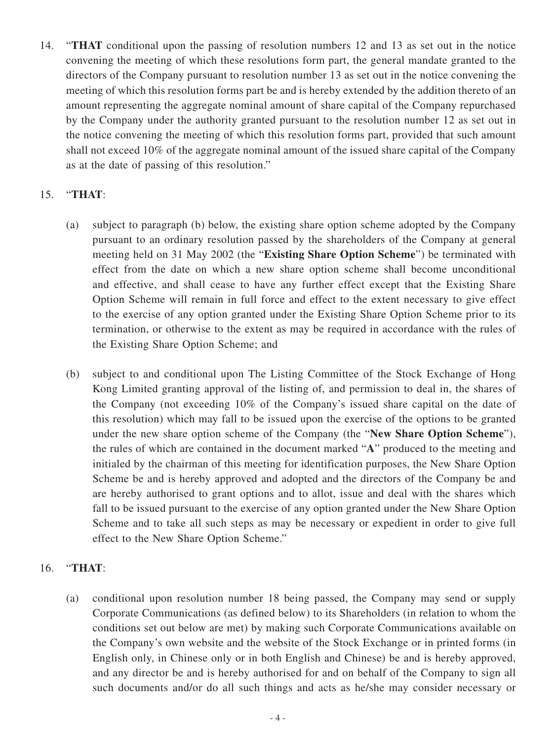14. "**THAT** conditional upon the passing of resolution numbers 12 and 13 as set out in the notice convening the meeting of which these resolutions form part, the general mandate granted to the directors of the Company pursuant to resolution number 13 as set out in the notice convening the meeting of which this resolution forms part be and is hereby extended by the addition thereto of an amount representing the aggregate nominal amount of share capital of the Company repurchased by the Company under the authority granted pursuant to the resolution number 12 as set out in the notice convening the meeting of which this resolution forms part, provided that such amount shall not exceed 10% of the aggregate nominal amount of the issued share capital of the Company as at the date of passing of this resolution."

## 15. "**THAT**:

- (a) subject to paragraph (b) below, the existing share option scheme adopted by the Company pursuant to an ordinary resolution passed by the shareholders of the Company at general meeting held on 31 May 2002 (the "**Existing Share Option Scheme**") be terminated with effect from the date on which a new share option scheme shall become unconditional and effective, and shall cease to have any further effect except that the Existing Share Option Scheme will remain in full force and effect to the extent necessary to give effect to the exercise of any option granted under the Existing Share Option Scheme prior to its termination, or otherwise to the extent as may be required in accordance with the rules of the Existing Share Option Scheme; and
- (b) subject to and conditional upon The Listing Committee of the Stock Exchange of Hong Kong Limited granting approval of the listing of, and permission to deal in, the shares of the Company (not exceeding 10% of the Company's issued share capital on the date of this resolution) which may fall to be issued upon the exercise of the options to be granted under the new share option scheme of the Company (the "**New Share Option Scheme**"), the rules of which are contained in the document marked "**A**" produced to the meeting and initialed by the chairman of this meeting for identification purposes, the New Share Option Scheme be and is hereby approved and adopted and the directors of the Company be and are hereby authorised to grant options and to allot, issue and deal with the shares which fall to be issued pursuant to the exercise of any option granted under the New Share Option Scheme and to take all such steps as may be necessary or expedient in order to give full effect to the New Share Option Scheme."

## 16. "**THAT**:

(a) conditional upon resolution number 18 being passed, the Company may send or supply Corporate Communications (as defined below) to its Shareholders (in relation to whom the conditions set out below are met) by making such Corporate Communications available on the Company's own website and the website of the Stock Exchange or in printed forms (in English only, in Chinese only or in both English and Chinese) be and is hereby approved, and any director be and is hereby authorised for and on behalf of the Company to sign all such documents and/or do all such things and acts as he/she may consider necessary or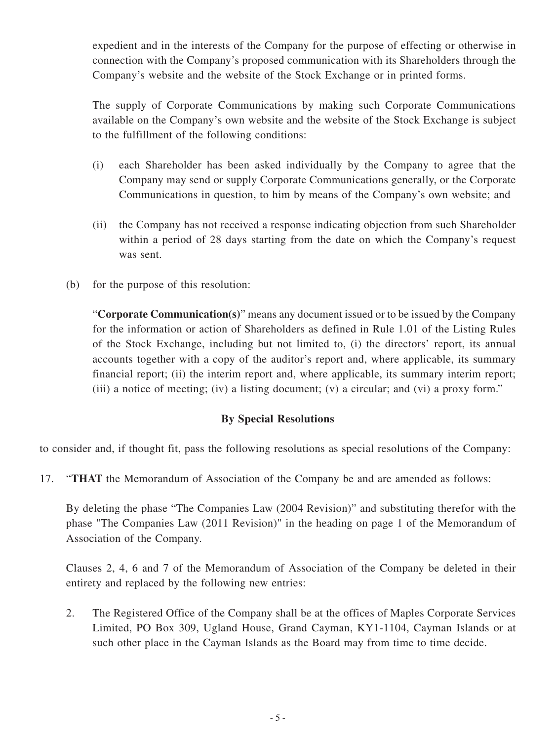expedient and in the interests of the Company for the purpose of effecting or otherwise in connection with the Company's proposed communication with its Shareholders through the Company's website and the website of the Stock Exchange or in printed forms.

The supply of Corporate Communications by making such Corporate Communications available on the Company's own website and the website of the Stock Exchange is subject to the fulfillment of the following conditions:

- (i) each Shareholder has been asked individually by the Company to agree that the Company may send or supply Corporate Communications generally, or the Corporate Communications in question, to him by means of the Company's own website; and
- (ii) the Company has not received a response indicating objection from such Shareholder within a period of 28 days starting from the date on which the Company's request was sent.
- (b) for the purpose of this resolution:

"**Corporate Communication(s)**" means any document issued or to be issued by the Company for the information or action of Shareholders as defined in Rule 1.01 of the Listing Rules of the Stock Exchange, including but not limited to, (i) the directors' report, its annual accounts together with a copy of the auditor's report and, where applicable, its summary financial report; (ii) the interim report and, where applicable, its summary interim report; (iii) a notice of meeting; (iv) a listing document; (v) a circular; and (vi) a proxy form."

## **By Special Resolutions**

to consider and, if thought fit, pass the following resolutions as special resolutions of the Company:

17. "**THAT** the Memorandum of Association of the Company be and are amended as follows:

By deleting the phase "The Companies Law (2004 Revision)" and substituting therefor with the phase "The Companies Law (2011 Revision)" in the heading on page 1 of the Memorandum of Association of the Company.

Clauses 2, 4, 6 and 7 of the Memorandum of Association of the Company be deleted in their entirety and replaced by the following new entries:

2. The Registered Office of the Company shall be at the offices of Maples Corporate Services Limited, PO Box 309, Ugland House, Grand Cayman, KY1-1104, Cayman Islands or at such other place in the Cayman Islands as the Board may from time to time decide.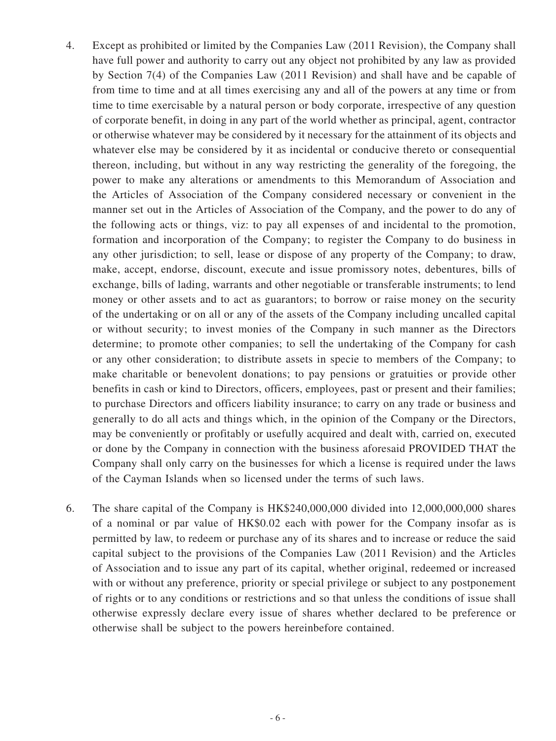- 4. Except as prohibited or limited by the Companies Law (2011 Revision), the Company shall have full power and authority to carry out any object not prohibited by any law as provided by Section 7(4) of the Companies Law (2011 Revision) and shall have and be capable of from time to time and at all times exercising any and all of the powers at any time or from time to time exercisable by a natural person or body corporate, irrespective of any question of corporate benefit, in doing in any part of the world whether as principal, agent, contractor or otherwise whatever may be considered by it necessary for the attainment of its objects and whatever else may be considered by it as incidental or conducive thereto or consequential thereon, including, but without in any way restricting the generality of the foregoing, the power to make any alterations or amendments to this Memorandum of Association and the Articles of Association of the Company considered necessary or convenient in the manner set out in the Articles of Association of the Company, and the power to do any of the following acts or things, viz: to pay all expenses of and incidental to the promotion, formation and incorporation of the Company; to register the Company to do business in any other jurisdiction; to sell, lease or dispose of any property of the Company; to draw, make, accept, endorse, discount, execute and issue promissory notes, debentures, bills of exchange, bills of lading, warrants and other negotiable or transferable instruments; to lend money or other assets and to act as guarantors; to borrow or raise money on the security of the undertaking or on all or any of the assets of the Company including uncalled capital or without security; to invest monies of the Company in such manner as the Directors determine; to promote other companies; to sell the undertaking of the Company for cash or any other consideration; to distribute assets in specie to members of the Company; to make charitable or benevolent donations; to pay pensions or gratuities or provide other benefits in cash or kind to Directors, officers, employees, past or present and their families; to purchase Directors and officers liability insurance; to carry on any trade or business and generally to do all acts and things which, in the opinion of the Company or the Directors, may be conveniently or profitably or usefully acquired and dealt with, carried on, executed or done by the Company in connection with the business aforesaid PROVIDED THAT the Company shall only carry on the businesses for which a license is required under the laws of the Cayman Islands when so licensed under the terms of such laws.
- 6. The share capital of the Company is HK\$240,000,000 divided into 12,000,000,000 shares of a nominal or par value of HK\$0.02 each with power for the Company insofar as is permitted by law, to redeem or purchase any of its shares and to increase or reduce the said capital subject to the provisions of the Companies Law (2011 Revision) and the Articles of Association and to issue any part of its capital, whether original, redeemed or increased with or without any preference, priority or special privilege or subject to any postponement of rights or to any conditions or restrictions and so that unless the conditions of issue shall otherwise expressly declare every issue of shares whether declared to be preference or otherwise shall be subject to the powers hereinbefore contained.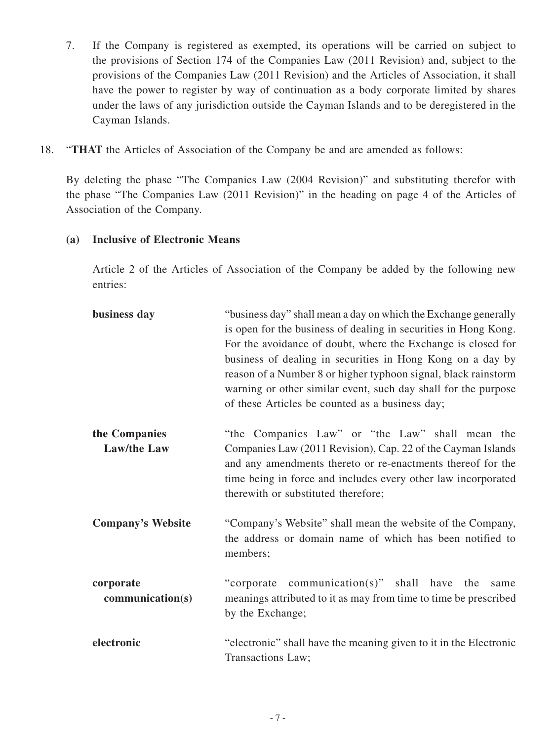- 7. If the Company is registered as exempted, its operations will be carried on subject to the provisions of Section 174 of the Companies Law (2011 Revision) and, subject to the provisions of the Companies Law (2011 Revision) and the Articles of Association, it shall have the power to register by way of continuation as a body corporate limited by shares under the laws of any jurisdiction outside the Cayman Islands and to be deregistered in the Cayman Islands.
- 18. "**THAT** the Articles of Association of the Company be and are amended as follows:

By deleting the phase "The Companies Law (2004 Revision)" and substituting therefor with the phase "The Companies Law (2011 Revision)" in the heading on page 4 of the Articles of Association of the Company.

## **(a) Inclusive of Electronic Means**

Article 2 of the Articles of Association of the Company be added by the following new entries:

| business day                        | "business day" shall mean a day on which the Exchange generally<br>is open for the business of dealing in securities in Hong Kong.<br>For the avoidance of doubt, where the Exchange is closed for<br>business of dealing in securities in Hong Kong on a day by<br>reason of a Number 8 or higher typhoon signal, black rainstorm<br>warning or other similar event, such day shall for the purpose<br>of these Articles be counted as a business day; |
|-------------------------------------|---------------------------------------------------------------------------------------------------------------------------------------------------------------------------------------------------------------------------------------------------------------------------------------------------------------------------------------------------------------------------------------------------------------------------------------------------------|
| the Companies<br><b>Law/the Law</b> | "the Companies Law" or "the Law" shall mean the<br>Companies Law (2011 Revision), Cap. 22 of the Cayman Islands<br>and any amendments thereto or re-enactments thereof for the<br>time being in force and includes every other law incorporated<br>therewith or substituted therefore;                                                                                                                                                                  |
| <b>Company's Website</b>            | "Company's Website" shall mean the website of the Company,<br>the address or domain name of which has been notified to<br>members;                                                                                                                                                                                                                                                                                                                      |
| corporate<br>communication(s)       | "corporate communication(s)" shall have the<br>same<br>meanings attributed to it as may from time to time be prescribed<br>by the Exchange;                                                                                                                                                                                                                                                                                                             |
| electronic                          | "electronic" shall have the meaning given to it in the Electronic<br>Transactions Law;                                                                                                                                                                                                                                                                                                                                                                  |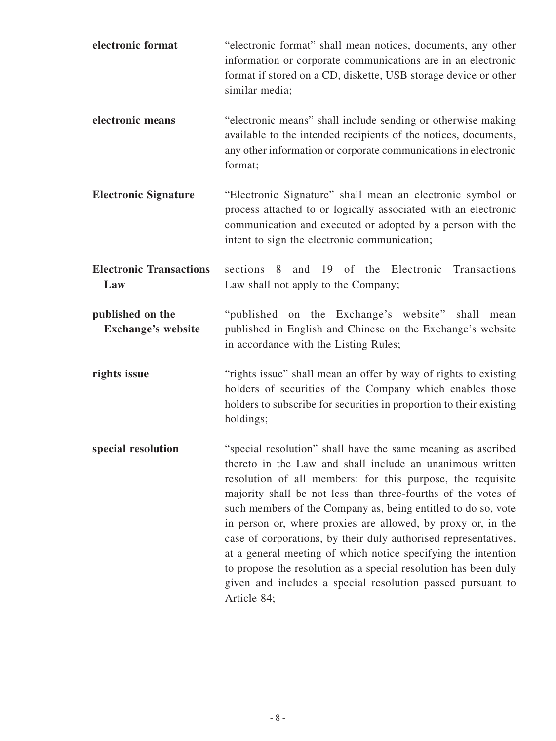| electronic format                             | "electronic format" shall mean notices, documents, any other<br>information or corporate communications are in an electronic<br>format if stored on a CD, diskette, USB storage device or other<br>similar media;                                                                                                                                                                                                                                                                                                                                                                                                                                                             |
|-----------------------------------------------|-------------------------------------------------------------------------------------------------------------------------------------------------------------------------------------------------------------------------------------------------------------------------------------------------------------------------------------------------------------------------------------------------------------------------------------------------------------------------------------------------------------------------------------------------------------------------------------------------------------------------------------------------------------------------------|
| electronic means                              | "electronic means" shall include sending or otherwise making<br>available to the intended recipients of the notices, documents,<br>any other information or corporate communications in electronic<br>format;                                                                                                                                                                                                                                                                                                                                                                                                                                                                 |
| <b>Electronic Signature</b>                   | "Electronic Signature" shall mean an electronic symbol or<br>process attached to or logically associated with an electronic<br>communication and executed or adopted by a person with the<br>intent to sign the electronic communication;                                                                                                                                                                                                                                                                                                                                                                                                                                     |
| <b>Electronic Transactions</b><br>Law         | sections 8 and 19 of the Electronic Transactions<br>Law shall not apply to the Company;                                                                                                                                                                                                                                                                                                                                                                                                                                                                                                                                                                                       |
| published on the<br><b>Exchange's website</b> | "published on the Exchange's website" shall<br>mean<br>published in English and Chinese on the Exchange's website<br>in accordance with the Listing Rules;                                                                                                                                                                                                                                                                                                                                                                                                                                                                                                                    |
| rights issue                                  | "rights issue" shall mean an offer by way of rights to existing<br>holders of securities of the Company which enables those<br>holders to subscribe for securities in proportion to their existing<br>holdings;                                                                                                                                                                                                                                                                                                                                                                                                                                                               |
| special resolution                            | "special resolution" shall have the same meaning as ascribed<br>thereto in the Law and shall include an unanimous written<br>resolution of all members: for this purpose, the requisite<br>majority shall be not less than three-fourths of the votes of<br>such members of the Company as, being entitled to do so, vote<br>in person or, where proxies are allowed, by proxy or, in the<br>case of corporations, by their duly authorised representatives,<br>at a general meeting of which notice specifying the intention<br>to propose the resolution as a special resolution has been duly<br>given and includes a special resolution passed pursuant to<br>Article 84; |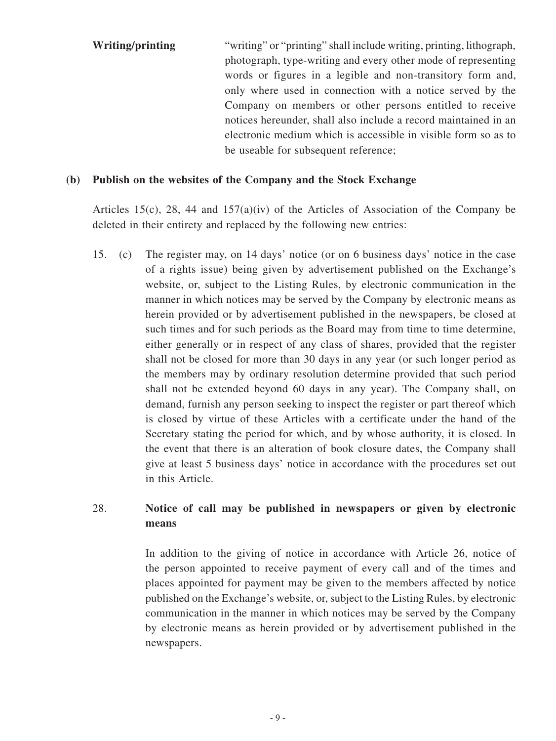**Writing/printing** "writing" or "printing" shall include writing, printing, lithograph, photograph, type-writing and every other mode of representing words or figures in a legible and non-transitory form and, only where used in connection with a notice served by the Company on members or other persons entitled to receive notices hereunder, shall also include a record maintained in an electronic medium which is accessible in visible form so as to be useable for subsequent reference;

#### **(b) Publish on the websites of the Company and the Stock Exchange**

Articles 15(c), 28, 44 and 157(a)(iv) of the Articles of Association of the Company be deleted in their entirety and replaced by the following new entries:

15. (c) The register may, on 14 days' notice (or on 6 business days' notice in the case of a rights issue) being given by advertisement published on the Exchange's website, or, subject to the Listing Rules, by electronic communication in the manner in which notices may be served by the Company by electronic means as herein provided or by advertisement published in the newspapers, be closed at such times and for such periods as the Board may from time to time determine, either generally or in respect of any class of shares, provided that the register shall not be closed for more than 30 days in any year (or such longer period as the members may by ordinary resolution determine provided that such period shall not be extended beyond 60 days in any year). The Company shall, on demand, furnish any person seeking to inspect the register or part thereof which is closed by virtue of these Articles with a certificate under the hand of the Secretary stating the period for which, and by whose authority, it is closed. In the event that there is an alteration of book closure dates, the Company shall give at least 5 business days' notice in accordance with the procedures set out in this Article.

## 28. **Notice of call may be published in newspapers or given by electronic means**

 In addition to the giving of notice in accordance with Article 26, notice of the person appointed to receive payment of every call and of the times and places appointed for payment may be given to the members affected by notice published on the Exchange's website, or, subject to the Listing Rules, by electronic communication in the manner in which notices may be served by the Company by electronic means as herein provided or by advertisement published in the newspapers.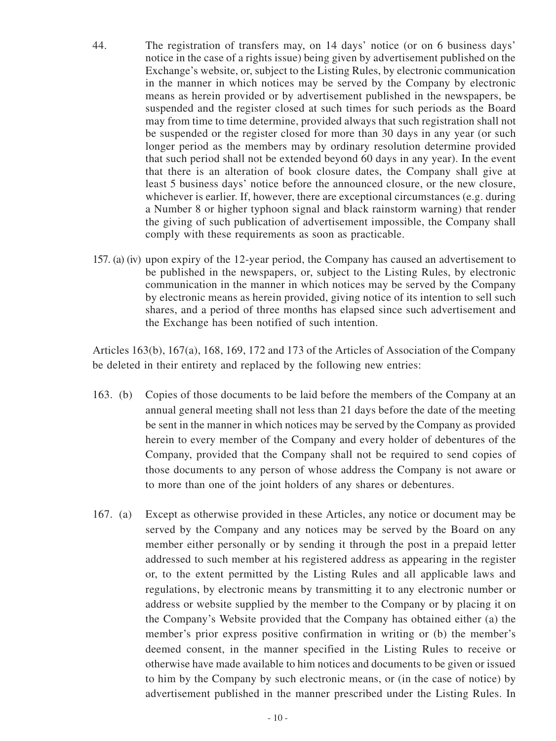- 44. The registration of transfers may, on 14 days' notice (or on 6 business days' notice in the case of a rights issue) being given by advertisement published on the Exchange's website, or, subject to the Listing Rules, by electronic communication in the manner in which notices may be served by the Company by electronic means as herein provided or by advertisement published in the newspapers, be suspended and the register closed at such times for such periods as the Board may from time to time determine, provided always that such registration shall not be suspended or the register closed for more than 30 days in any year (or such longer period as the members may by ordinary resolution determine provided that such period shall not be extended beyond 60 days in any year). In the event that there is an alteration of book closure dates, the Company shall give at least 5 business days' notice before the announced closure, or the new closure, whichever is earlier. If, however, there are exceptional circumstances (e.g. during a Number 8 or higher typhoon signal and black rainstorm warning) that render the giving of such publication of advertisement impossible, the Company shall comply with these requirements as soon as practicable.
- 157. (a) (iv) upon expiry of the 12-year period, the Company has caused an advertisement to be published in the newspapers, or, subject to the Listing Rules, by electronic communication in the manner in which notices may be served by the Company by electronic means as herein provided, giving notice of its intention to sell such shares, and a period of three months has elapsed since such advertisement and the Exchange has been notified of such intention.

Articles 163(b), 167(a), 168, 169, 172 and 173 of the Articles of Association of the Company be deleted in their entirety and replaced by the following new entries:

- 163. (b) Copies of those documents to be laid before the members of the Company at an annual general meeting shall not less than 21 days before the date of the meeting be sent in the manner in which notices may be served by the Company as provided herein to every member of the Company and every holder of debentures of the Company, provided that the Company shall not be required to send copies of those documents to any person of whose address the Company is not aware or to more than one of the joint holders of any shares or debentures.
- 167. (a) Except as otherwise provided in these Articles, any notice or document may be served by the Company and any notices may be served by the Board on any member either personally or by sending it through the post in a prepaid letter addressed to such member at his registered address as appearing in the register or, to the extent permitted by the Listing Rules and all applicable laws and regulations, by electronic means by transmitting it to any electronic number or address or website supplied by the member to the Company or by placing it on the Company's Website provided that the Company has obtained either (a) the member's prior express positive confirmation in writing or (b) the member's deemed consent, in the manner specified in the Listing Rules to receive or otherwise have made available to him notices and documents to be given or issued to him by the Company by such electronic means, or (in the case of notice) by advertisement published in the manner prescribed under the Listing Rules. In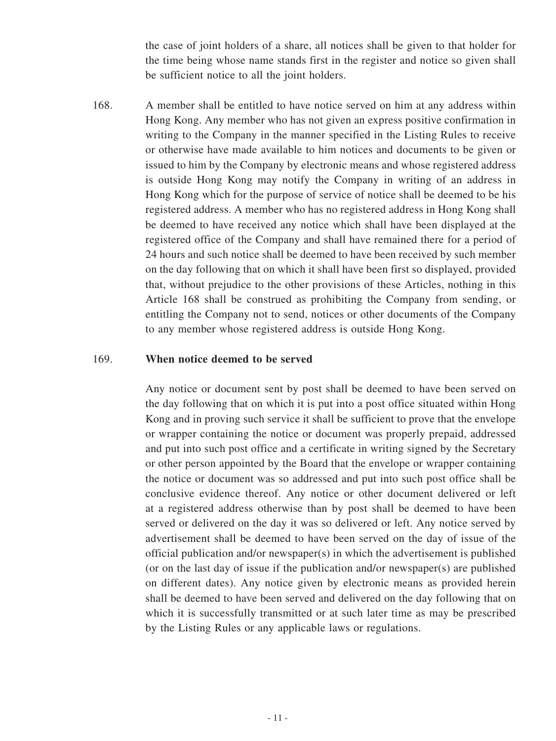the case of joint holders of a share, all notices shall be given to that holder for the time being whose name stands first in the register and notice so given shall be sufficient notice to all the joint holders.

168. A member shall be entitled to have notice served on him at any address within Hong Kong. Any member who has not given an express positive confirmation in writing to the Company in the manner specified in the Listing Rules to receive or otherwise have made available to him notices and documents to be given or issued to him by the Company by electronic means and whose registered address is outside Hong Kong may notify the Company in writing of an address in Hong Kong which for the purpose of service of notice shall be deemed to be his registered address. A member who has no registered address in Hong Kong shall be deemed to have received any notice which shall have been displayed at the registered office of the Company and shall have remained there for a period of 24 hours and such notice shall be deemed to have been received by such member on the day following that on which it shall have been first so displayed, provided that, without prejudice to the other provisions of these Articles, nothing in this Article 168 shall be construed as prohibiting the Company from sending, or entitling the Company not to send, notices or other documents of the Company to any member whose registered address is outside Hong Kong.

#### 169. **When notice deemed to be served**

Any notice or document sent by post shall be deemed to have been served on the day following that on which it is put into a post office situated within Hong Kong and in proving such service it shall be sufficient to prove that the envelope or wrapper containing the notice or document was properly prepaid, addressed and put into such post office and a certificate in writing signed by the Secretary or other person appointed by the Board that the envelope or wrapper containing the notice or document was so addressed and put into such post office shall be conclusive evidence thereof. Any notice or other document delivered or left at a registered address otherwise than by post shall be deemed to have been served or delivered on the day it was so delivered or left. Any notice served by advertisement shall be deemed to have been served on the day of issue of the official publication and/or newspaper $(s)$  in which the advertisement is published (or on the last day of issue if the publication and/or newspaper(s) are published on different dates). Any notice given by electronic means as provided herein shall be deemed to have been served and delivered on the day following that on which it is successfully transmitted or at such later time as may be prescribed by the Listing Rules or any applicable laws or regulations.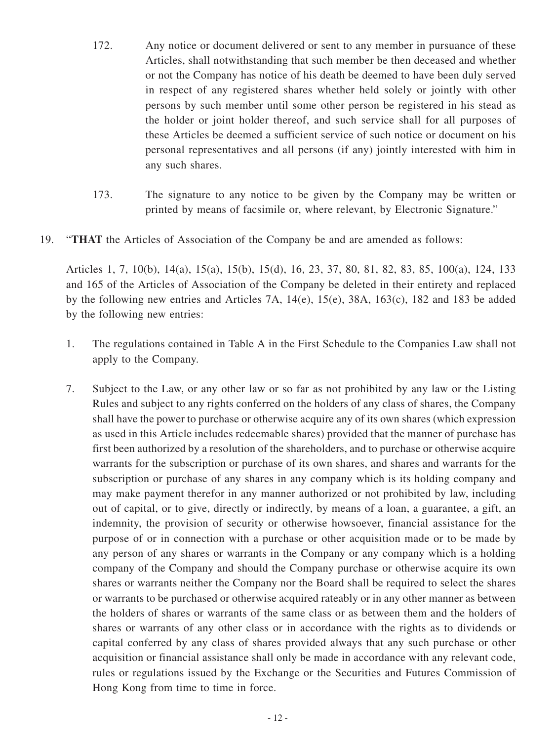- 172. Any notice or document delivered or sent to any member in pursuance of these Articles, shall notwithstanding that such member be then deceased and whether or not the Company has notice of his death be deemed to have been duly served in respect of any registered shares whether held solely or jointly with other persons by such member until some other person be registered in his stead as the holder or joint holder thereof, and such service shall for all purposes of these Articles be deemed a sufficient service of such notice or document on his personal representatives and all persons (if any) jointly interested with him in any such shares.
- 173. The signature to any notice to be given by the Company may be written or printed by means of facsimile or, where relevant, by Electronic Signature."
- 19. "**THAT** the Articles of Association of the Company be and are amended as follows:

Articles 1, 7, 10(b), 14(a), 15(a), 15(b), 15(d), 16, 23, 37, 80, 81, 82, 83, 85, 100(a), 124, 133 and 165 of the Articles of Association of the Company be deleted in their entirety and replaced by the following new entries and Articles 7A, 14(e), 15(e), 38A, 163(c), 182 and 183 be added by the following new entries:

- 1. The regulations contained in Table A in the First Schedule to the Companies Law shall not apply to the Company.
- 7. Subject to the Law, or any other law or so far as not prohibited by any law or the Listing Rules and subject to any rights conferred on the holders of any class of shares, the Company shall have the power to purchase or otherwise acquire any of its own shares (which expression as used in this Article includes redeemable shares) provided that the manner of purchase has first been authorized by a resolution of the shareholders, and to purchase or otherwise acquire warrants for the subscription or purchase of its own shares, and shares and warrants for the subscription or purchase of any shares in any company which is its holding company and may make payment therefor in any manner authorized or not prohibited by law, including out of capital, or to give, directly or indirectly, by means of a loan, a guarantee, a gift, an indemnity, the provision of security or otherwise howsoever, financial assistance for the purpose of or in connection with a purchase or other acquisition made or to be made by any person of any shares or warrants in the Company or any company which is a holding company of the Company and should the Company purchase or otherwise acquire its own shares or warrants neither the Company nor the Board shall be required to select the shares or warrants to be purchased or otherwise acquired rateably or in any other manner as between the holders of shares or warrants of the same class or as between them and the holders of shares or warrants of any other class or in accordance with the rights as to dividends or capital conferred by any class of shares provided always that any such purchase or other acquisition or financial assistance shall only be made in accordance with any relevant code, rules or regulations issued by the Exchange or the Securities and Futures Commission of Hong Kong from time to time in force.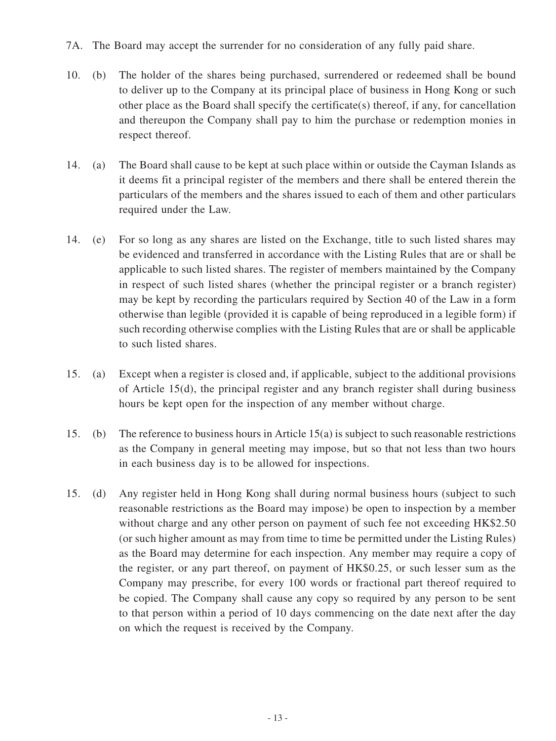- 7A. The Board may accept the surrender for no consideration of any fully paid share.
- 10. (b) The holder of the shares being purchased, surrendered or redeemed shall be bound to deliver up to the Company at its principal place of business in Hong Kong or such other place as the Board shall specify the certificate(s) thereof, if any, for cancellation and thereupon the Company shall pay to him the purchase or redemption monies in respect thereof.
- 14. (a) The Board shall cause to be kept at such place within or outside the Cayman Islands as it deems fit a principal register of the members and there shall be entered therein the particulars of the members and the shares issued to each of them and other particulars required under the Law.
- 14. (e) For so long as any shares are listed on the Exchange, title to such listed shares may be evidenced and transferred in accordance with the Listing Rules that are or shall be applicable to such listed shares. The register of members maintained by the Company in respect of such listed shares (whether the principal register or a branch register) may be kept by recording the particulars required by Section 40 of the Law in a form otherwise than legible (provided it is capable of being reproduced in a legible form) if such recording otherwise complies with the Listing Rules that are or shall be applicable to such listed shares.
- 15. (a) Except when a register is closed and, if applicable, subject to the additional provisions of Article 15(d), the principal register and any branch register shall during business hours be kept open for the inspection of any member without charge.
- 15. (b) The reference to business hours in Article 15(a) is subject to such reasonable restrictions as the Company in general meeting may impose, but so that not less than two hours in each business day is to be allowed for inspections.
- 15. (d) Any register held in Hong Kong shall during normal business hours (subject to such reasonable restrictions as the Board may impose) be open to inspection by a member without charge and any other person on payment of such fee not exceeding HK\$2.50 (or such higher amount as may from time to time be permitted under the Listing Rules) as the Board may determine for each inspection. Any member may require a copy of the register, or any part thereof, on payment of HK\$0.25, or such lesser sum as the Company may prescribe, for every 100 words or fractional part thereof required to be copied. The Company shall cause any copy so required by any person to be sent to that person within a period of 10 days commencing on the date next after the day on which the request is received by the Company.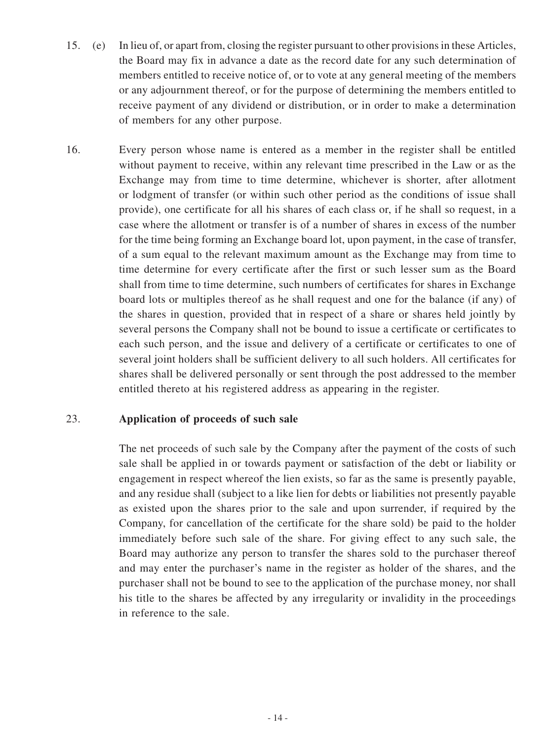- 15. (e) In lieu of, or apart from, closing the register pursuant to other provisions in these Articles, the Board may fix in advance a date as the record date for any such determination of members entitled to receive notice of, or to vote at any general meeting of the members or any adjournment thereof, or for the purpose of determining the members entitled to receive payment of any dividend or distribution, or in order to make a determination of members for any other purpose.
- 16. Every person whose name is entered as a member in the register shall be entitled without payment to receive, within any relevant time prescribed in the Law or as the Exchange may from time to time determine, whichever is shorter, after allotment or lodgment of transfer (or within such other period as the conditions of issue shall provide), one certificate for all his shares of each class or, if he shall so request, in a case where the allotment or transfer is of a number of shares in excess of the number for the time being forming an Exchange board lot, upon payment, in the case of transfer, of a sum equal to the relevant maximum amount as the Exchange may from time to time determine for every certificate after the first or such lesser sum as the Board shall from time to time determine, such numbers of certificates for shares in Exchange board lots or multiples thereof as he shall request and one for the balance (if any) of the shares in question, provided that in respect of a share or shares held jointly by several persons the Company shall not be bound to issue a certificate or certificates to each such person, and the issue and delivery of a certificate or certificates to one of several joint holders shall be sufficient delivery to all such holders. All certificates for shares shall be delivered personally or sent through the post addressed to the member entitled thereto at his registered address as appearing in the register.

#### 23. **Application of proceeds of such sale**

The net proceeds of such sale by the Company after the payment of the costs of such sale shall be applied in or towards payment or satisfaction of the debt or liability or engagement in respect whereof the lien exists, so far as the same is presently payable, and any residue shall (subject to a like lien for debts or liabilities not presently payable as existed upon the shares prior to the sale and upon surrender, if required by the Company, for cancellation of the certificate for the share sold) be paid to the holder immediately before such sale of the share. For giving effect to any such sale, the Board may authorize any person to transfer the shares sold to the purchaser thereof and may enter the purchaser's name in the register as holder of the shares, and the purchaser shall not be bound to see to the application of the purchase money, nor shall his title to the shares be affected by any irregularity or invalidity in the proceedings in reference to the sale.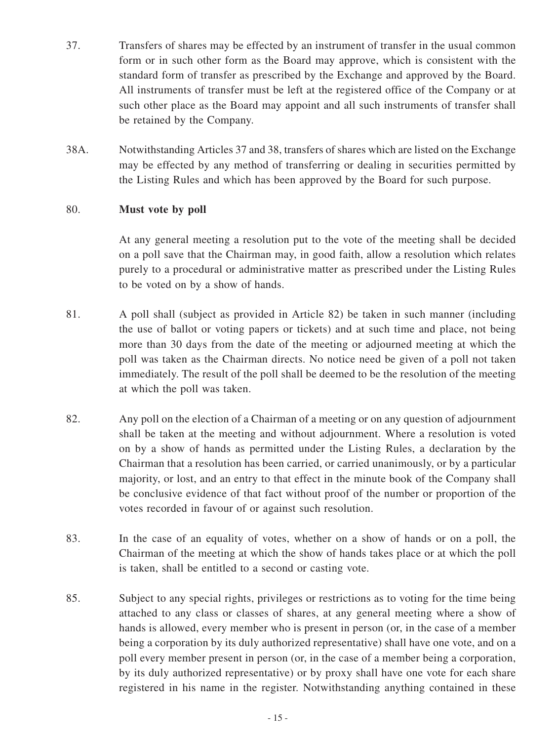- 37. Transfers of shares may be effected by an instrument of transfer in the usual common form or in such other form as the Board may approve, which is consistent with the standard form of transfer as prescribed by the Exchange and approved by the Board. All instruments of transfer must be left at the registered office of the Company or at such other place as the Board may appoint and all such instruments of transfer shall be retained by the Company.
- 38A. Notwithstanding Articles 37 and 38, transfers of shares which are listed on the Exchange may be effected by any method of transferring or dealing in securities permitted by the Listing Rules and which has been approved by the Board for such purpose.

#### 80. **Must vote by poll**

At any general meeting a resolution put to the vote of the meeting shall be decided on a poll save that the Chairman may, in good faith, allow a resolution which relates purely to a procedural or administrative matter as prescribed under the Listing Rules to be voted on by a show of hands.

- 81. A poll shall (subject as provided in Article 82) be taken in such manner (including the use of ballot or voting papers or tickets) and at such time and place, not being more than 30 days from the date of the meeting or adjourned meeting at which the poll was taken as the Chairman directs. No notice need be given of a poll not taken immediately. The result of the poll shall be deemed to be the resolution of the meeting at which the poll was taken.
- 82. Any poll on the election of a Chairman of a meeting or on any question of adjournment shall be taken at the meeting and without adjournment. Where a resolution is voted on by a show of hands as permitted under the Listing Rules, a declaration by the Chairman that a resolution has been carried, or carried unanimously, or by a particular majority, or lost, and an entry to that effect in the minute book of the Company shall be conclusive evidence of that fact without proof of the number or proportion of the votes recorded in favour of or against such resolution.
- 83. In the case of an equality of votes, whether on a show of hands or on a poll, the Chairman of the meeting at which the show of hands takes place or at which the poll is taken, shall be entitled to a second or casting vote.
- 85. Subject to any special rights, privileges or restrictions as to voting for the time being attached to any class or classes of shares, at any general meeting where a show of hands is allowed, every member who is present in person (or, in the case of a member being a corporation by its duly authorized representative) shall have one vote, and on a poll every member present in person (or, in the case of a member being a corporation, by its duly authorized representative) or by proxy shall have one vote for each share registered in his name in the register. Notwithstanding anything contained in these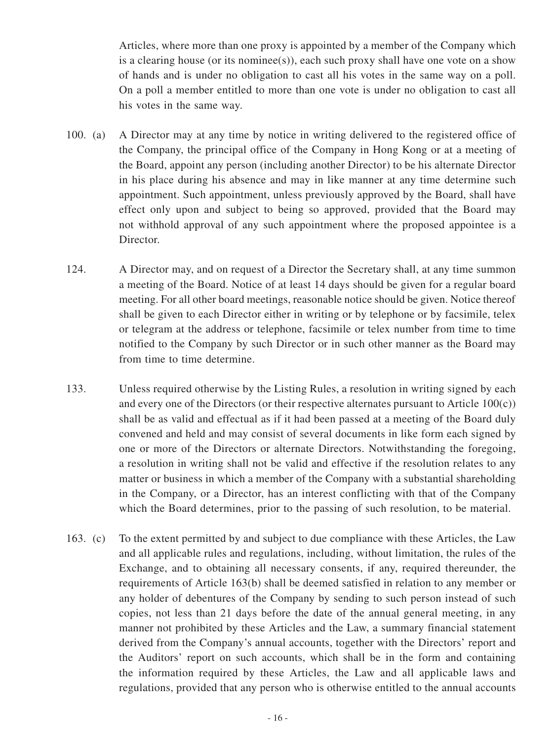Articles, where more than one proxy is appointed by a member of the Company which is a clearing house (or its nominee(s)), each such proxy shall have one vote on a show of hands and is under no obligation to cast all his votes in the same way on a poll. On a poll a member entitled to more than one vote is under no obligation to cast all his votes in the same way.

- 100. (a) A Director may at any time by notice in writing delivered to the registered office of the Company, the principal office of the Company in Hong Kong or at a meeting of the Board, appoint any person (including another Director) to be his alternate Director in his place during his absence and may in like manner at any time determine such appointment. Such appointment, unless previously approved by the Board, shall have effect only upon and subject to being so approved, provided that the Board may not withhold approval of any such appointment where the proposed appointee is a Director.
- 124. A Director may, and on request of a Director the Secretary shall, at any time summon a meeting of the Board. Notice of at least 14 days should be given for a regular board meeting. For all other board meetings, reasonable notice should be given. Notice thereof shall be given to each Director either in writing or by telephone or by facsimile, telex or telegram at the address or telephone, facsimile or telex number from time to time notified to the Company by such Director or in such other manner as the Board may from time to time determine.
- 133. Unless required otherwise by the Listing Rules, a resolution in writing signed by each and every one of the Directors (or their respective alternates pursuant to Article  $100(c)$ ) shall be as valid and effectual as if it had been passed at a meeting of the Board duly convened and held and may consist of several documents in like form each signed by one or more of the Directors or alternate Directors. Notwithstanding the foregoing, a resolution in writing shall not be valid and effective if the resolution relates to any matter or business in which a member of the Company with a substantial shareholding in the Company, or a Director, has an interest conflicting with that of the Company which the Board determines, prior to the passing of such resolution, to be material.
- 163. (c) To the extent permitted by and subject to due compliance with these Articles, the Law and all applicable rules and regulations, including, without limitation, the rules of the Exchange, and to obtaining all necessary consents, if any, required thereunder, the requirements of Article 163(b) shall be deemed satisfied in relation to any member or any holder of debentures of the Company by sending to such person instead of such copies, not less than 21 days before the date of the annual general meeting, in any manner not prohibited by these Articles and the Law, a summary financial statement derived from the Company's annual accounts, together with the Directors' report and the Auditors' report on such accounts, which shall be in the form and containing the information required by these Articles, the Law and all applicable laws and regulations, provided that any person who is otherwise entitled to the annual accounts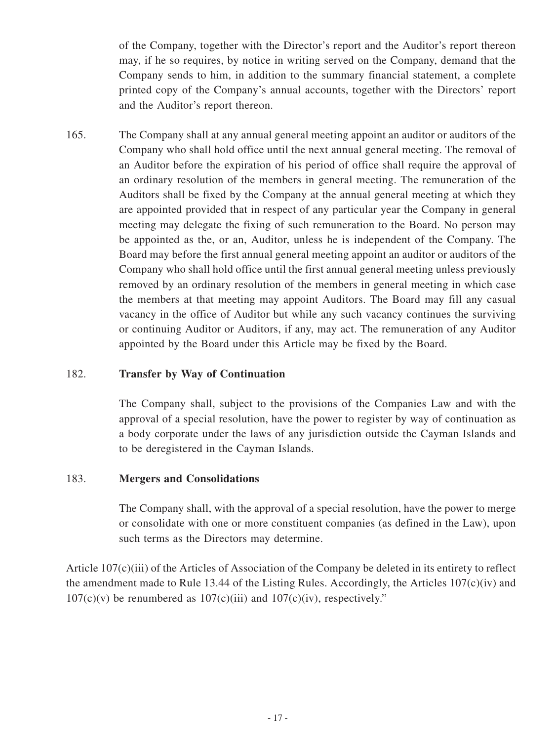of the Company, together with the Director's report and the Auditor's report thereon may, if he so requires, by notice in writing served on the Company, demand that the Company sends to him, in addition to the summary financial statement, a complete printed copy of the Company's annual accounts, together with the Directors' report and the Auditor's report thereon.

165. The Company shall at any annual general meeting appoint an auditor or auditors of the Company who shall hold office until the next annual general meeting. The removal of an Auditor before the expiration of his period of office shall require the approval of an ordinary resolution of the members in general meeting. The remuneration of the Auditors shall be fixed by the Company at the annual general meeting at which they are appointed provided that in respect of any particular year the Company in general meeting may delegate the fixing of such remuneration to the Board. No person may be appointed as the, or an, Auditor, unless he is independent of the Company. The Board may before the first annual general meeting appoint an auditor or auditors of the Company who shall hold office until the first annual general meeting unless previously removed by an ordinary resolution of the members in general meeting in which case the members at that meeting may appoint Auditors. The Board may fill any casual vacancy in the office of Auditor but while any such vacancy continues the surviving or continuing Auditor or Auditors, if any, may act. The remuneration of any Auditor appointed by the Board under this Article may be fixed by the Board.

## 182. **Transfer by Way of Continuation**

The Company shall, subject to the provisions of the Companies Law and with the approval of a special resolution, have the power to register by way of continuation as a body corporate under the laws of any jurisdiction outside the Cayman Islands and to be deregistered in the Cayman Islands.

## 183. **Mergers and Consolidations**

The Company shall, with the approval of a special resolution, have the power to merge or consolidate with one or more constituent companies (as defined in the Law), upon such terms as the Directors may determine.

Article 107(c)(iii) of the Articles of Association of the Company be deleted in its entirety to reflect the amendment made to Rule 13.44 of the Listing Rules. Accordingly, the Articles 107(c)(iv) and  $107(c)(v)$  be renumbered as  $107(c)(iii)$  and  $107(c)(iv)$ , respectively."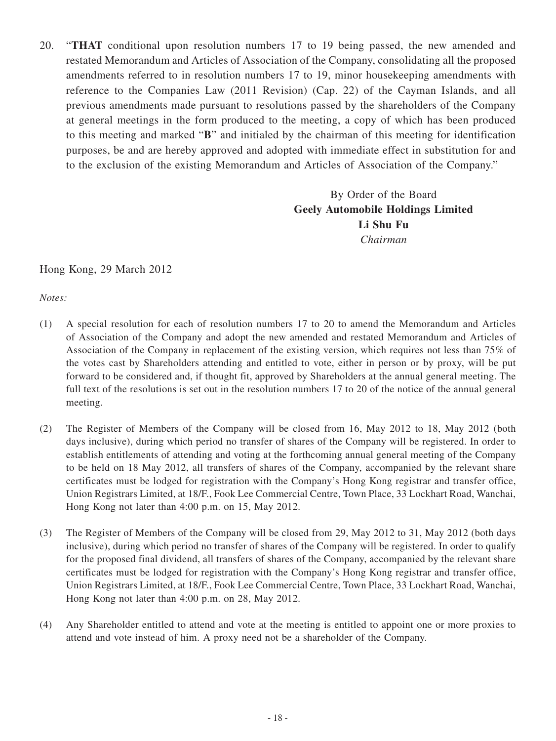20. "**THAT** conditional upon resolution numbers 17 to 19 being passed, the new amended and restated Memorandum and Articles of Association of the Company, consolidating all the proposed amendments referred to in resolution numbers 17 to 19, minor housekeeping amendments with reference to the Companies Law (2011 Revision) (Cap. 22) of the Cayman Islands, and all previous amendments made pursuant to resolutions passed by the shareholders of the Company at general meetings in the form produced to the meeting, a copy of which has been produced to this meeting and marked "**B**" and initialed by the chairman of this meeting for identification purposes, be and are hereby approved and adopted with immediate effect in substitution for and to the exclusion of the existing Memorandum and Articles of Association of the Company."

> By Order of the Board **Geely Automobile Holdings Limited Li Shu Fu** *Chairman*

Hong Kong, 29 March 2012

*Notes:*

- (1) A special resolution for each of resolution numbers 17 to 20 to amend the Memorandum and Articles of Association of the Company and adopt the new amended and restated Memorandum and Articles of Association of the Company in replacement of the existing version, which requires not less than 75% of the votes cast by Shareholders attending and entitled to vote, either in person or by proxy, will be put forward to be considered and, if thought fit, approved by Shareholders at the annual general meeting. The full text of the resolutions is set out in the resolution numbers 17 to 20 of the notice of the annual general meeting.
- (2) The Register of Members of the Company will be closed from 16, May 2012 to 18, May 2012 (both days inclusive), during which period no transfer of shares of the Company will be registered. In order to establish entitlements of attending and voting at the forthcoming annual general meeting of the Company to be held on 18 May 2012, all transfers of shares of the Company, accompanied by the relevant share certificates must be lodged for registration with the Company's Hong Kong registrar and transfer office, Union Registrars Limited, at 18/F., Fook Lee Commercial Centre, Town Place, 33 Lockhart Road, Wanchai, Hong Kong not later than 4:00 p.m. on 15, May 2012.
- (3) The Register of Members of the Company will be closed from 29, May 2012 to 31, May 2012 (both days inclusive), during which period no transfer of shares of the Company will be registered. In order to qualify for the proposed final dividend, all transfers of shares of the Company, accompanied by the relevant share certificates must be lodged for registration with the Company's Hong Kong registrar and transfer office, Union Registrars Limited, at 18/F., Fook Lee Commercial Centre, Town Place, 33 Lockhart Road, Wanchai, Hong Kong not later than 4:00 p.m. on 28, May 2012.
- (4) Any Shareholder entitled to attend and vote at the meeting is entitled to appoint one or more proxies to attend and vote instead of him. A proxy need not be a shareholder of the Company.